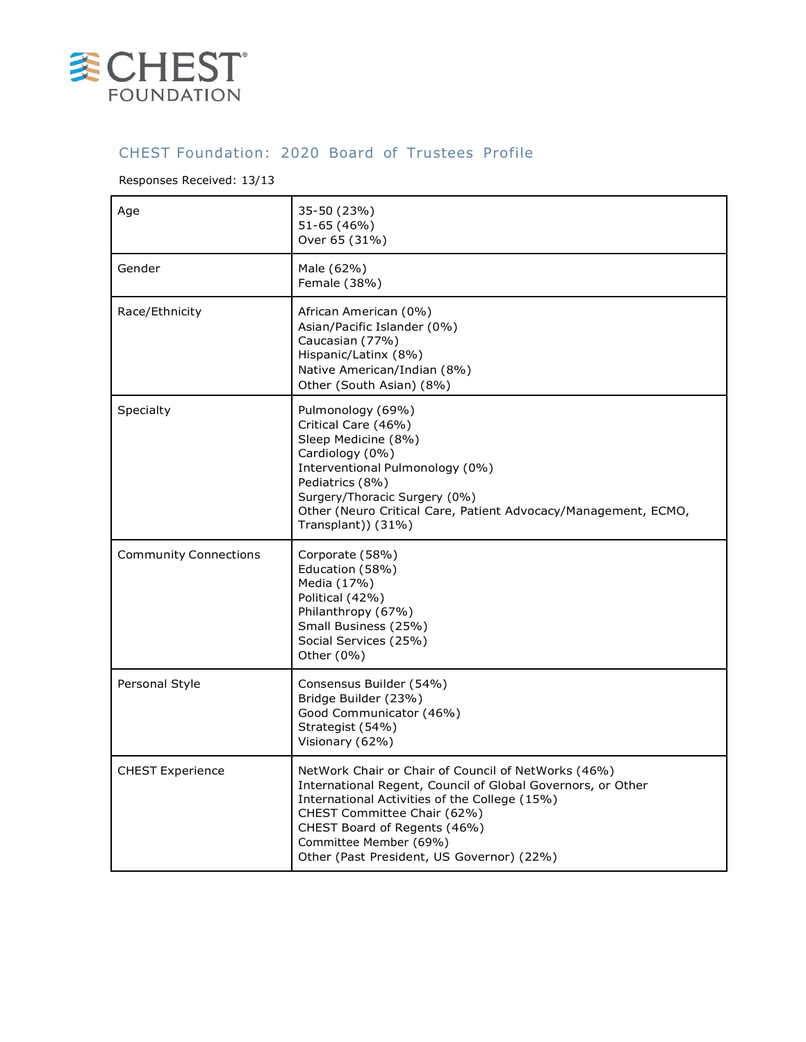

## CHEST Foundation: 2020 Board of Trustees Profile

## Responses Received: 13/13

| Age                          | 35-50 (23%)<br>51-65 (46%)<br>Over 65 (31%)                                                                                                                                                                                                                                                               |
|------------------------------|-----------------------------------------------------------------------------------------------------------------------------------------------------------------------------------------------------------------------------------------------------------------------------------------------------------|
| Gender                       | Male (62%)<br>Female (38%)                                                                                                                                                                                                                                                                                |
| Race/Ethnicity               | African American (0%)<br>Asian/Pacific Islander (0%)<br>Caucasian (77%)<br>Hispanic/Latinx (8%)<br>Native American/Indian (8%)<br>Other (South Asian) (8%)                                                                                                                                                |
| Specialty                    | Pulmonology (69%)<br>Critical Care (46%)<br>Sleep Medicine (8%)<br>Cardiology (0%)<br>Interventional Pulmonology (0%)<br>Pediatrics (8%)<br>Surgery/Thoracic Surgery (0%)<br>Other (Neuro Critical Care, Patient Advocacy/Management, ECMO,<br>Transplant)) (31%)                                         |
| <b>Community Connections</b> | Corporate (58%)<br>Education (58%)<br>Media (17%)<br>Political (42%)<br>Philanthropy (67%)<br>Small Business (25%)<br>Social Services (25%)<br>Other (0%)                                                                                                                                                 |
| Personal Style               | Consensus Builder (54%)<br>Bridge Builder (23%)<br>Good Communicator (46%)<br>Strategist (54%)<br>Visionary (62%)                                                                                                                                                                                         |
| <b>CHEST Experience</b>      | NetWork Chair or Chair of Council of NetWorks (46%)<br>International Regent, Council of Global Governors, or Other<br>International Activities of the College (15%)<br>CHEST Committee Chair (62%)<br>CHEST Board of Regents (46%)<br>Committee Member (69%)<br>Other (Past President, US Governor) (22%) |